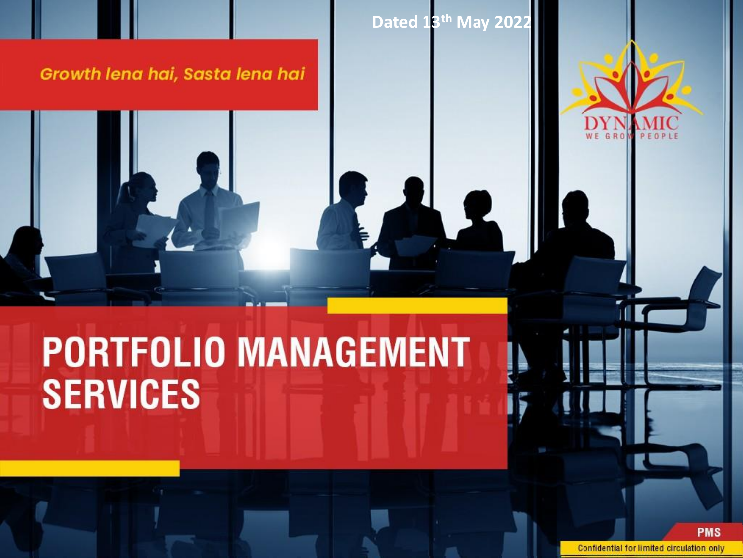Growth lena hai, Sasta lena hai

**Dated 13th May 2022**



# **PORTFOLIO MANAGEMENT SERVICES**

**PMS Confidential for limited circulation only**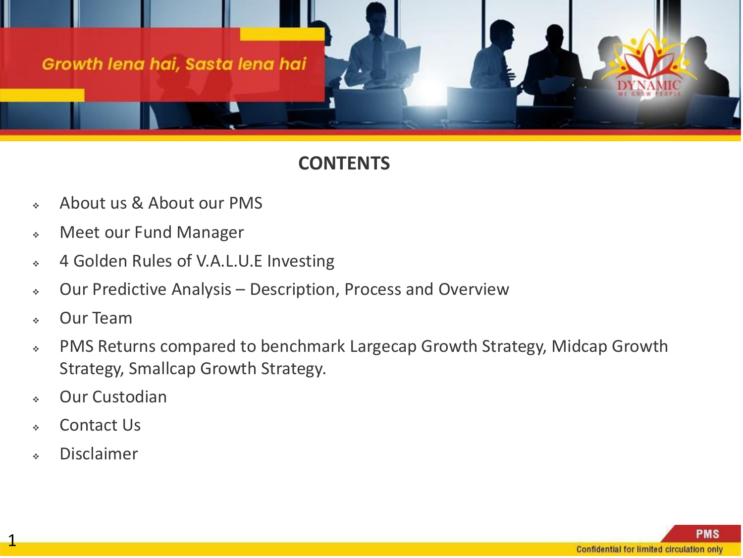

#### **CONTENTS**

- ❖ About us & About our PMS
- ❖ Meet our Fund Manager
- ❖ 4 Golden Rules of V.A.L.U.E Investing
- ❖ Our Predictive Analysis Description, Process and Overview
- ❖ Our Team
- ❖ PMS Returns compared to benchmark Largecap Growth Strategy, Midcap Growth Strategy, Smallcap Growth Strategy.
- ❖ Our Custodian
- ❖ Contact Us
- ❖ Disclaimer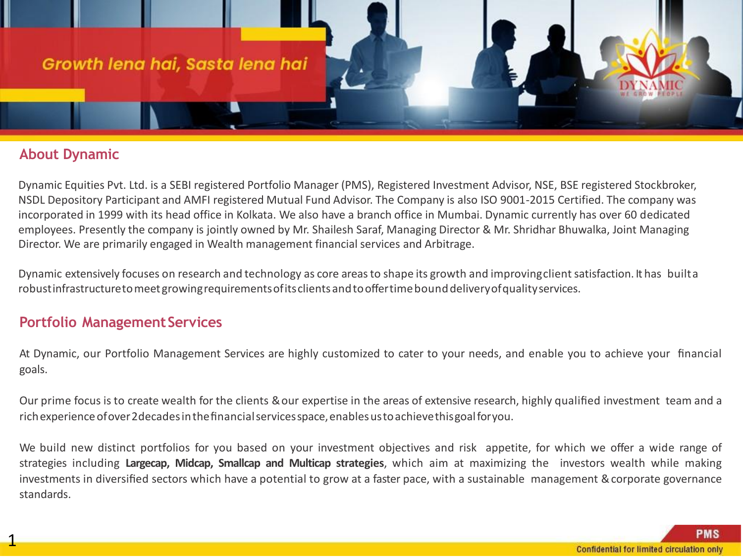#### **About Dynamic**

Dynamic Equities Pvt. Ltd. is a SEBI registered Portfolio Manager (PMS), Registered Investment Advisor, NSE, BSE registered Stockbroker, NSDL Depository Participant and AMFI registered Mutual Fund Advisor. The Company is also ISO 9001-2015 Certified. The company was incorporated in 1999 with its head office in Kolkata. We also have a branch office in Mumbai. Dynamic currently has over 60 dedicated employees. Presently the company is jointly owned by Mr. Shailesh Saraf, Managing Director & Mr. Shridhar Bhuwalka, Joint Managing Director. We are primarily engaged in Wealth management financial services and Arbitrage.

Dynamic extensively focuses on research and technology as core areas to shape its growth and improving client satisfaction. It has builta robustinfrastructuretomeetgrowingrequirementsofitsclientsandtooffertimebounddeliveryofqualityservices.

#### **Portfolio Management Services**

At Dynamic, our Portfolio Management Services are highly customized to cater to your needs, and enable you to achieve your financial goals.

Our prime focus is to create wealth for the clients &our expertise in the areas of extensive research, highly qualified investment team and a rich experience of over 2 decades in the financial services space, enables us to achieve this goal for you.

We build new distinct portfolios for you based on your investment objectives and risk appetite, for which we offer a wide range of strategies including **Largecap, Midcap, Smallcap and Multicap strategies**, which aim at maximizing the investors wealth while making investments in diversified sectors which have a potential to grow at a faster pace, with a sustainable management &corporate governance standards.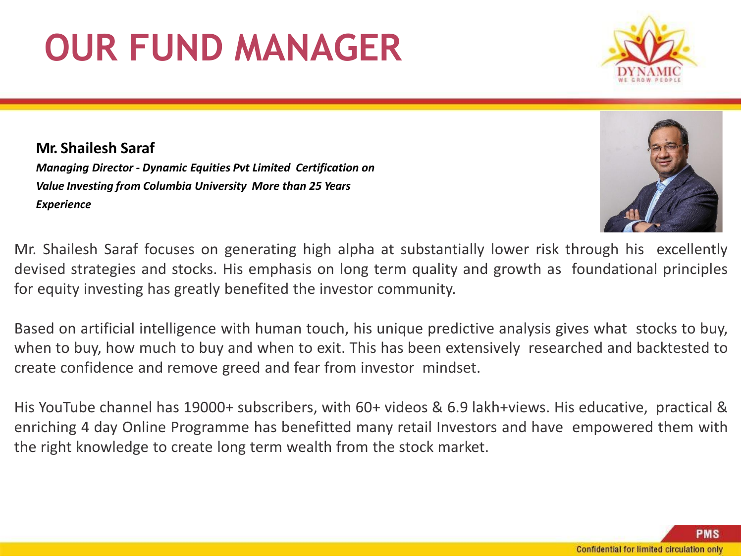#### **PMS** Confidential for limited circulation only

# **OUR FUND MANAGER**

**Mr. Shailesh Saraf** *Managing Director - Dynamic Equities Pvt Limited Certification on Value Investing from Columbia University More than 25 Years Experience*

Mr. Shailesh Saraf focuses on generating high alpha at substantially lower risk through his excellently devised strategies and stocks. His emphasis on long term quality and growth as foundational principles for equity investing has greatly benefited the investor community.

Based on artificial intelligence with human touch, his unique predictive analysis gives what stocks to buy, when to buy, how much to buy and when to exit. This has been extensively researched and backtested to create confidence and remove greed and fear from investor mindset.

His YouTube channel has 19000+ subscribers, with 60+ videos & 6.9 lakh+views. His educative, practical & enriching 4 day Online Programme has benefitted many retail Investors and have empowered them with the right knowledge to create long term wealth from the stock market.



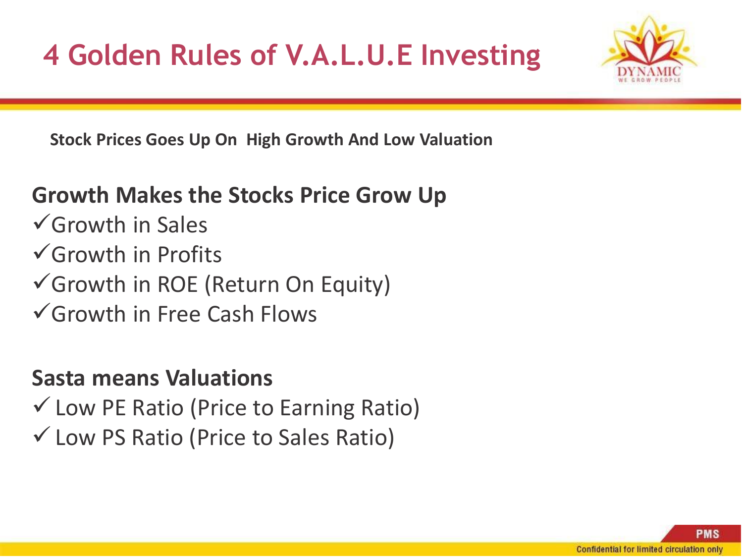

**Stock Prices Goes Up On High Growth And Low Valuation**

### **Growth Makes the Stocks Price Grow Up**

 $\sqrt{G}$ rowth in Sales ✓Growth in Profits ✓Growth in ROE (Return On Equity) ✓Growth in Free Cash Flows

### **Sasta means Valuations**

 $\checkmark$  Low PE Ratio (Price to Earning Ratio) ✓Low PS Ratio (Price to Sales Ratio)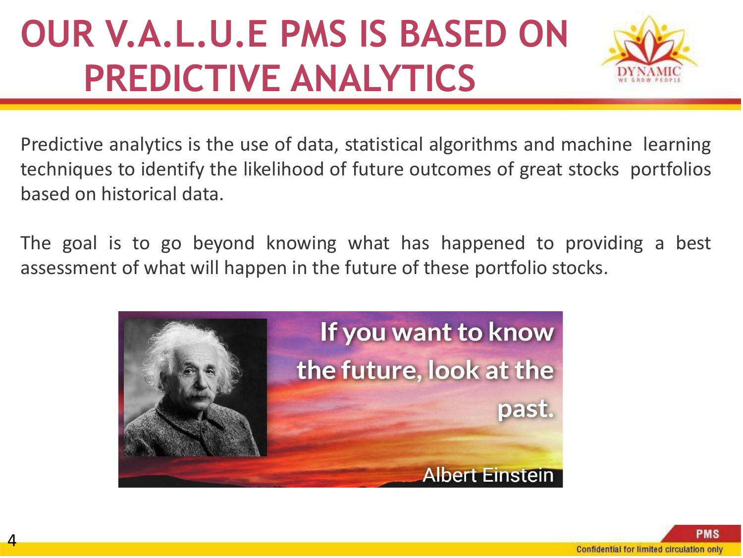## **OUR V.A.L.U.E PMS IS BASED ON PREDICTIVE ANALYTICS**



Predictive analytics is the use of data, statistical algorithms and machine learning techniques to identify the likelihood of future outcomes of great stocks portfolios based on historical data.

The goal is to go beyond knowing what has happened to providing a best assessment of what will happen in the future of these portfolio stocks.

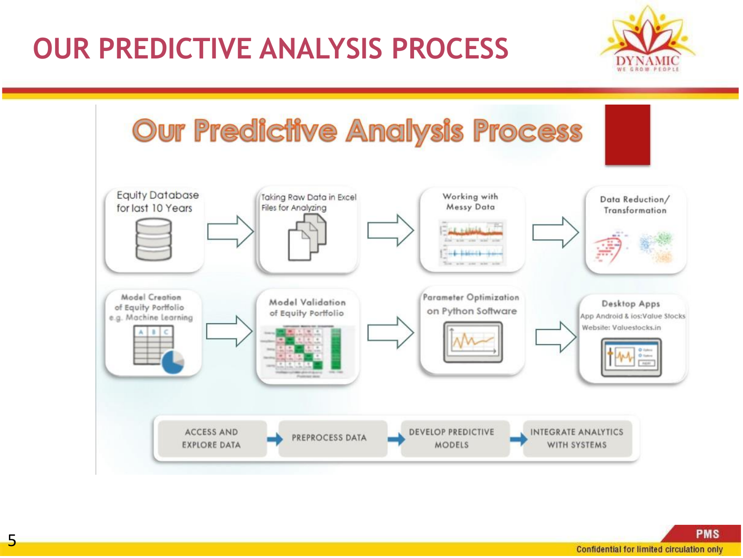### **OUR PREDICTIVE ANALYSIS PROCESS**





**PMS**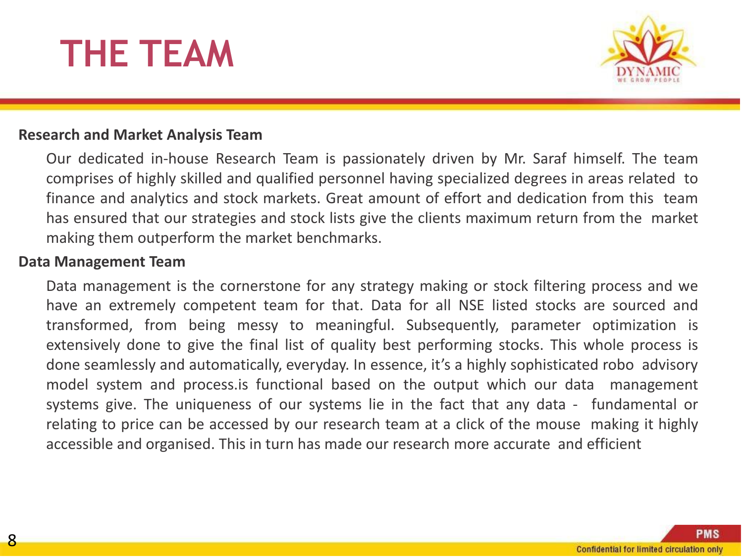## **THE TEAM**



#### **Research and Market Analysis Team**

Our dedicated in-house Research Team is passionately driven by Mr. Saraf himself. The team comprises of highly skilled and qualified personnel having specialized degrees in areas related to finance and analytics and stock markets. Great amount of effort and dedication from this team has ensured that our strategies and stock lists give the clients maximum return from the market making them outperform the market benchmarks.

#### **Data Management Team**

Data management is the cornerstone for any strategy making or stock filtering process and we have an extremely competent team for that. Data for all NSE listed stocks are sourced and transformed, from being messy to meaningful. Subsequently, parameter optimization is extensively done to give the final list of quality best performing stocks. This whole process is done seamlessly and automatically, everyday. In essence, it's a highly sophisticated robo advisory model system and process.is functional based on the output which our data management systems give. The uniqueness of our systems lie in the fact that any data - fundamental or relating to price can be accessed by our research team at a click of the mouse making it highly accessible and organised. This in turn has made our research more accurate and efficient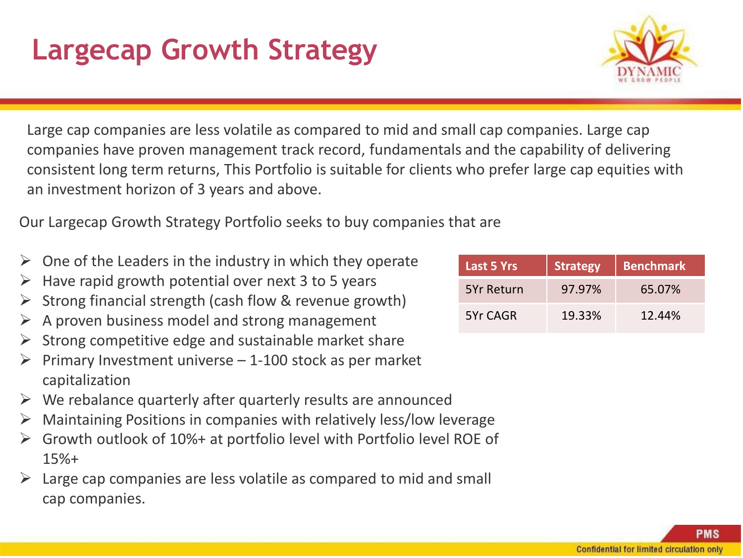### **Largecap Growth Strategy**

Large cap companies are less volatile as compared to mid and small cap companies. Large cap companies have proven management track record, fundamentals and the capability of delivering consistent long term returns, This Portfolio is suitable for clients who prefer large cap equities with an investment horizon of 3 years and above.

Our Largecap Growth Strategy Portfolio seeks to buy companies that are

- ➢ One of the Leaders in the industry in which they operate
- $\triangleright$  Have rapid growth potential over next 3 to 5 years
- ➢ Strong financial strength (cash flow & revenue growth)
- ➢ A proven business model and strong management
- $\triangleright$  Strong competitive edge and sustainable market share
- Primary Investment universe  $-1$ -100 stock as per market capitalization
- $\triangleright$  We rebalance quarterly after quarterly results are announced
- $\triangleright$  Maintaining Positions in companies with relatively less/low leverage
- ➢ Growth outlook of 10%+ at portfolio level with Portfolio level ROE of 15%+
- Large cap companies are less volatile as compared to mid and small cap companies.

| <b>Last 5 Yrs</b> | <b>Strategy</b> | <b>Benchmark</b> |
|-------------------|-----------------|------------------|
| <b>5Yr Return</b> | 97.97%          | 65.07%           |
| 5Yr CAGR          | 19.33%          | 12.44%           |

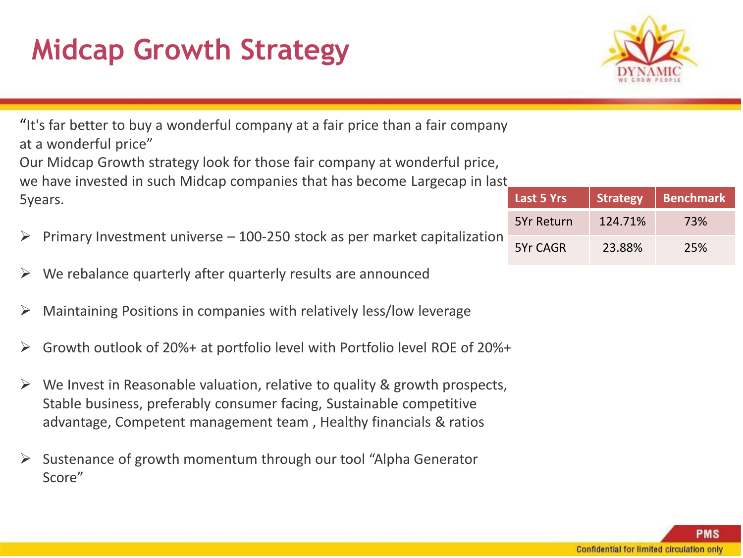## **Midcap Growth Strategy**



"It's far better to buy a wonderful company at a fair price than a fair company at a wonderful price"

Our Midcap Growth strategy look for those fair company at wonderful price, we have invested in such Midcap companies that has become Largecap in last 5years.

- $\triangleright$  Primary Investment universe 100-250 stock as per market capitalization
- $\triangleright$  We rebalance quarterly after quarterly results are announced
- $\triangleright$  Maintaining Positions in companies with relatively less/low leverage
- $\triangleright$  Growth outlook of 20%+ at portfolio level with Portfolio level ROE of 20%+
- $\triangleright$  We Invest in Reasonable valuation, relative to quality & growth prospects, Stable business, preferably consumer facing, Sustainable competitive advantage, Competent management team , Healthy financials & ratios
- ➢ Sustenance of growth momentum through our tool "Alpha Generator Score"

| <b>Last 5 Yrs</b> | <b>Strategy</b> | <b>Benchmark</b> |  |
|-------------------|-----------------|------------------|--|
| <b>5Yr Return</b> | 124.71%         | 73%              |  |
| 5Yr CAGR          | 23.88%          | 25%              |  |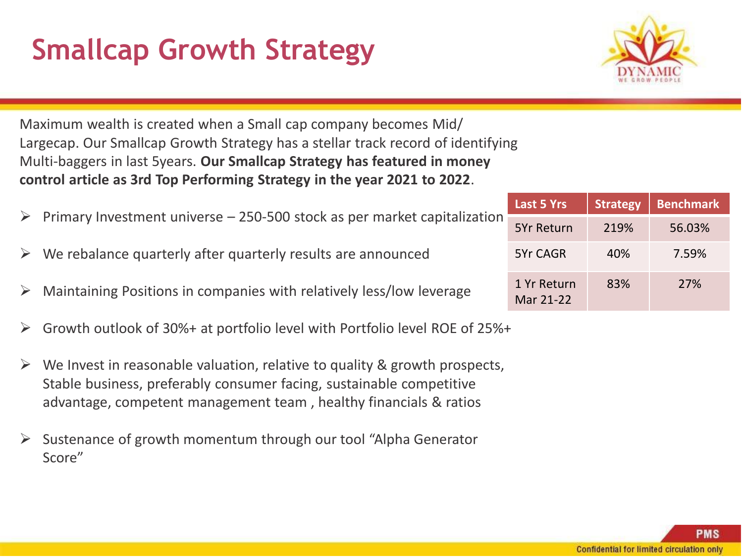## **Smallcap Growth Strategy**



Maximum wealth is created when a Small cap company becomes Mid/ Largecap. Our Smallcap Growth Strategy has a stellar track record of identifying Multi-baggers in last 5years. **Our Smallcap Strategy has featured in money control article as 3rd Top Performing Strategy in the year 2021 to 2022**.

- $\triangleright$  Primary Investment universe 250-500 stock as per market capitalization
- We rebalance quarterly after quarterly results are announced
- $\triangleright$  Maintaining Positions in companies with relatively less/low leverage
- ➢ Growth outlook of 30%+ at portfolio level with Portfolio level ROE of 25%+
- ➢ We Invest in reasonable valuation, relative to quality & growth prospects, Stable business, preferably consumer facing, sustainable competitive advantage, competent management team , healthy financials & ratios
- Sustenance of growth momentum through our tool "Alpha Generator" Score"

| <b>Last 5 Yrs</b>        | <b>Strategy</b> | <b>Benchmark</b> |  |  |
|--------------------------|-----------------|------------------|--|--|
| <b>5Yr Return</b>        | 219%            | 56.03%           |  |  |
| 5Yr CAGR                 | 40%             | 7.59%            |  |  |
| 1 Yr Return<br>Mar 21-22 | 83%             | <b>27%</b>       |  |  |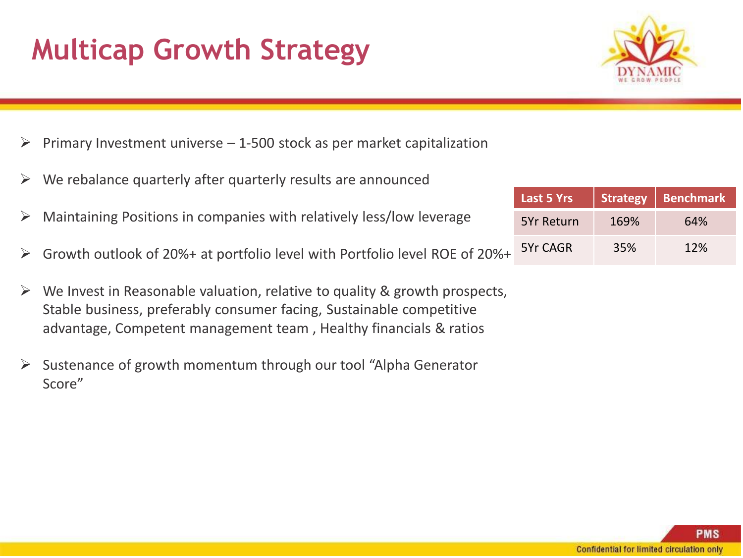### **Multicap Growth Strategy**



- $\triangleright$  Primary Investment universe  $-1$ -500 stock as per market capitalization
- $\triangleright$  We rebalance quarterly after quarterly results are announced
- $\triangleright$  Maintaining Positions in companies with relatively less/low leverage
- ➢ Growth outlook of 20%+ at portfolio level with Portfolio level ROE of 20%+
- $\triangleright$  We Invest in Reasonable valuation, relative to quality & growth prospects, Stable business, preferably consumer facing, Sustainable competitive advantage, Competent management team , Healthy financials & ratios
- ➢ Sustenance of growth momentum through our tool "Alpha Generator Score"

| Last 5 Yrs | <b>Strategy</b> | <b>Benchmark</b> |
|------------|-----------------|------------------|
| 5Yr Return | 169%            | 64%              |
| 5Yr CAGR   | 35%             | 12%              |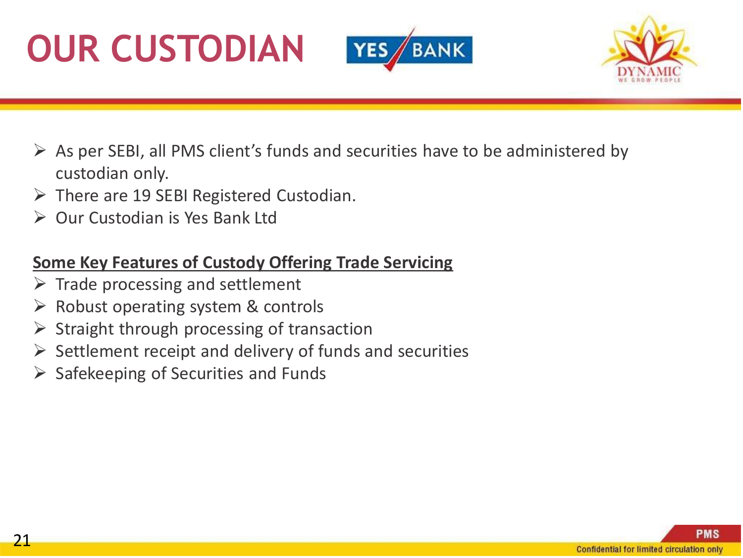





- $\triangleright$  As per SEBI, all PMS client's funds and securities have to be administered by custodian only.
- $\triangleright$  There are 19 SEBI Registered Custodian.
- ➢ Our Custodian is Yes Bank Ltd

#### **Some Key Features of Custody Offering Trade Servicing**

- $\triangleright$  Trade processing and settlement
- $\triangleright$  Robust operating system & controls
- $\triangleright$  Straight through processing of transaction
- $\triangleright$  Settlement receipt and delivery of funds and securities
- $\triangleright$  Safekeeping of Securities and Funds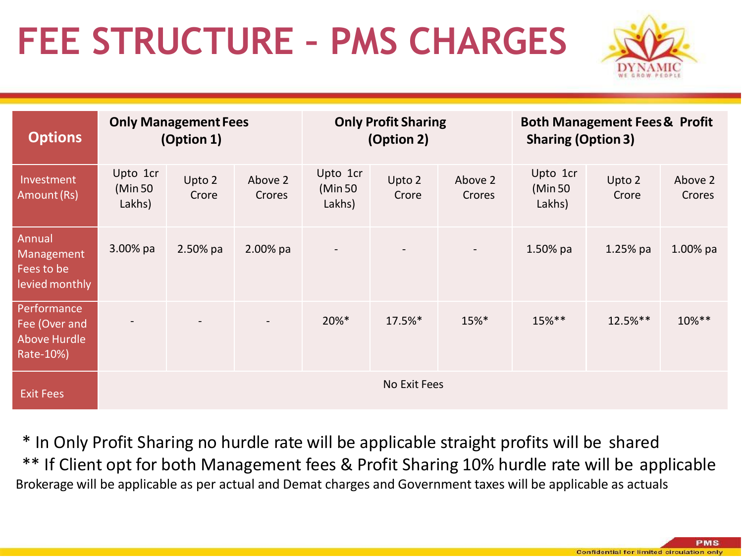## **FEE STRUCTURE – PMS CHARGES**



| <b>Options</b>                                            |                                | <b>Only Management Fees</b><br>(Option 1) |                   |                                | <b>Only Profit Sharing</b><br>(Option 2) |                   | <b>Sharing (Option 3)</b>     | <b>Both Management Fees &amp; Profit</b> |                   |
|-----------------------------------------------------------|--------------------------------|-------------------------------------------|-------------------|--------------------------------|------------------------------------------|-------------------|-------------------------------|------------------------------------------|-------------------|
| Investment<br>Amount (Rs)                                 | Upto 1cr<br>(Min 50)<br>Lakhs) | Upto 2<br>Crore                           | Above 2<br>Crores | Upto 1cr<br>(Min 50)<br>Lakhs) | Upto 2<br>Crore                          | Above 2<br>Crores | Upto 1cr<br>(Min 50<br>Lakhs) | Upto 2<br>Crore                          | Above 2<br>Crores |
| Annual<br>Management<br>Fees to be<br>levied monthly      | 3.00% pa                       | $2.50%$ pa                                | 2.00% pa          | $\blacksquare$                 |                                          | $\sim$            | $1.50%$ pa                    | $1.25%$ pa                               | $1.00\%$ pa       |
| Performance<br>Fee (Over and<br>Above Hurdle<br>Rate-10%) |                                |                                           |                   | 20%*                           | 17.5%*                                   | 15%*              | 15%**                         | 12.5%**                                  | 10%**             |
| <b>Exit Fees</b>                                          |                                |                                           |                   |                                | No Exit Fees                             |                   |                               |                                          |                   |

\* In Only Profit Sharing no hurdle rate will be applicable straight profits will be shared \*\* If Client opt for both Management fees & Profit Sharing 10% hurdle rate will be applicable Brokerage will be applicable as per actual and Demat charges and Government taxes will be applicable as actuals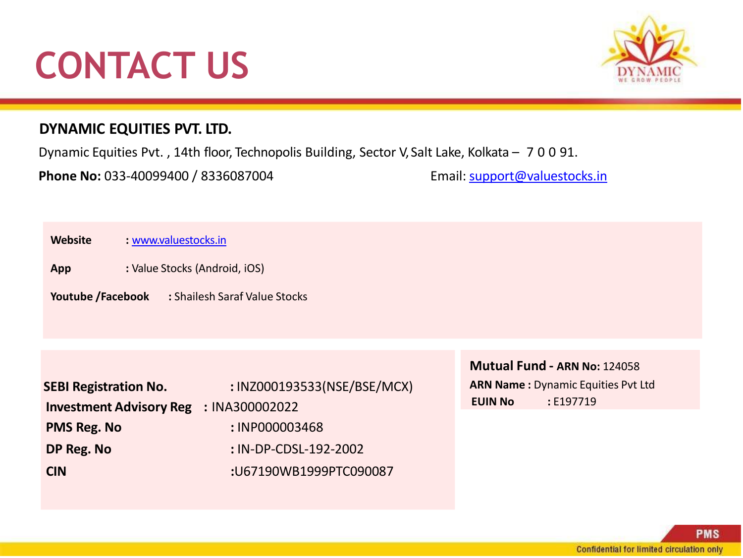## **CONTACT US**



#### **DYNAMIC EQUITIES PVT. LTD.**

Dynamic Equities Pvt. , 14th floor, Technopolis Building, Sector V, Salt Lake, Kolkata – 700 91.

**Phone No:** 033-40099400 / 8336087004 Email: [support@valuestocks.in](mailto:support@valuestocks.in)

| : www.valuestocks.in<br><b>Website</b> |
|----------------------------------------|
|----------------------------------------|

**App :** Value Stocks (Android, iOS)

**Youtube /Facebook :** Shailesh Saraf Value Stocks

| <b>SEBI Registration No.</b>                  | : INZ000193533(NSE/BSE/MCX) |
|-----------------------------------------------|-----------------------------|
| <b>Investment Advisory Reg : INA300002022</b> |                             |
| <b>PMS Reg. No</b>                            | : INP000003468              |
| DP Reg. No                                    | : IN-DP-CDSL-192-2002       |
| <b>CIN</b>                                    | :U67190WB1999PTC090087      |

**Mutual Fund - ARN No:** 124058 **ARN Name :** Dynamic Equities Pvt Ltd **EUIN No :** E197719